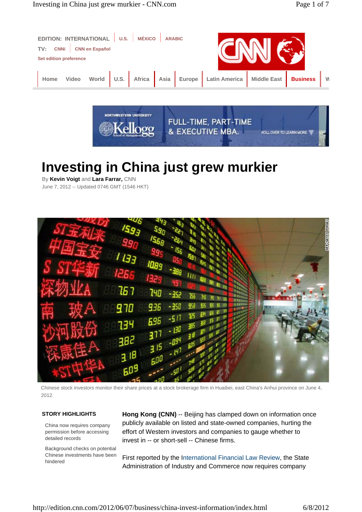



# **Investing in China just grew murkier**

By **Kevin Voigt** and **Lara Farrar,** CNN June 7, 2012 -- Updated 0746 GMT (1546 HKT)



Chinese stock investors monitor their share prices at a stock brokerage firm in Huaibei, east China's Anhui province on June 4, 2012.

## **STORY HIGHLIGHTS**

China now requires company permission before accessing detailed records

Background checks on potential Chinese investments have been hindered

**Hong Kong (CNN)** -- Beijing has clamped down on information once publicly available on listed and state-owned companies, hurting the effort of Western investors and companies to gauge whether to invest in -- or short-sell -- Chinese firms.

First reported by the International Financial Law Review, the State Administration of Industry and Commerce now requires company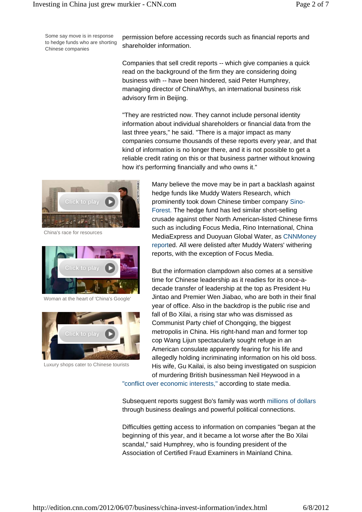Some say move is in response to hedge funds who are shorting Chinese companies

permission before accessing records such as financial reports and shareholder information.

Companies that sell credit reports -- which give companies a quick read on the background of the firm they are considering doing business with -- have been hindered, said Peter Humphrey, managing director of ChinaWhys, an international business risk advisory firm in Beijing.

"They are restricted now. They cannot include personal identity information about individual shareholders or financial data from the last three years," he said. "There is a major impact as many companies consume thousands of these reports every year, and that kind of information is no longer there, and it is not possible to get a reliable credit rating on this or that business partner without knowing how it's performing financially and who owns it."



China's race for resources



Woman at the heart of 'China's Google'



Luxury shops cater to Chinese tourists

Many believe the move may be in part a backlash against hedge funds like Muddy Waters Research, which prominently took down Chinese timber company Sino-Forest. The hedge fund has led similar short-selling crusade against other North American-listed Chinese firms such as including Focus Media, Rino International, China MediaExpress and Duoyuan Global Water, as CNNMoney reported. All were delisted after Muddy Waters' withering reports, with the exception of Focus Media.

But the information clampdown also comes at a sensitive time for Chinese leadership as it readies for its once-adecade transfer of leadership at the top as President Hu Jintao and Premier Wen Jiabao, who are both in their final year of office. Also in the backdrop is the public rise and fall of Bo Xilai, a rising star who was dismissed as Communist Party chief of Chongqing, the biggest metropolis in China. His right-hand man and former top cop Wang Lijun spectacularly sought refuge in an American consulate apparently fearing for his life and allegedly holding incriminating information on his old boss. His wife, Gu Kailai, is also being investigated on suspicion of murdering British businessman Neil Heywood in a

"conflict over economic interests," according to state media.

Subsequent reports suggest Bo's family was worth millions of dollars through business dealings and powerful political connections.

Difficulties getting access to information on companies "began at the beginning of this year, and it became a lot worse after the Bo Xilai scandal," said Humphrey, who is founding president of the Association of Certified Fraud Examiners in Mainland China.